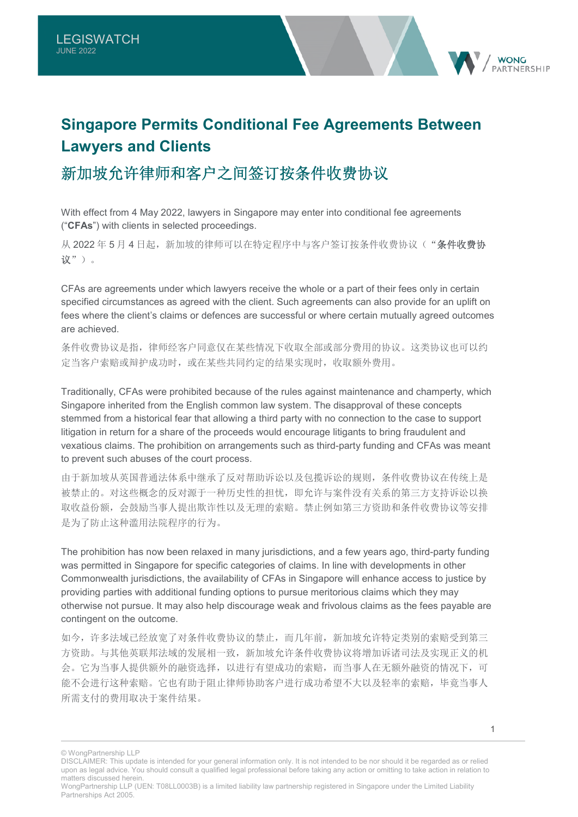# **Singapore Permits Conditional Fee Agreements Between Lawyers and Clients**

## 新加坡允许律师和客户之间签订按条件收费协议

With effect from 4 May 2022, lawyers in Singapore may enter into conditional fee agreements ("**CFAs**") with clients in selected proceedings.

从 2022 年 5 月 4 日起, 新加坡的律师可以在特定程序中与客户签订按条件收费协议("条件收费协 议")。

CFAs are agreements under which lawyers receive the whole or a part of their fees only in certain specified circumstances as agreed with the client. Such agreements can also provide for an uplift on fees where the client's claims or defences are successful or where certain mutually agreed outcomes are achieved.

条件收费协议是指,律师经客户同意仅在某些情况下收取全部或部分费用的协议。这类协议也可以约 定当客户索赔或辩护成功时,或在某些共同约定的结果实现时,收取额外费用。

Traditionally, CFAs were prohibited because of the rules against maintenance and champerty, which Singapore inherited from the English common law system. The disapproval of these concepts stemmed from a historical fear that allowing a third party with no connection to the case to support litigation in return for a share of the proceeds would encourage litigants to bring fraudulent and vexatious claims. The prohibition on arrangements such as third-party funding and CFAs was meant to prevent such abuses of the court process.

由于新加坡从英国普通法体系中继承了反对帮助诉讼以及包揽诉讼的规则,条件收费协议在传统上是 被禁止的。对这些概念的反对源于一种历史性的担忧,即允许与案件没有关系的第三方支持诉讼以换 取收益份额,会鼓励当事人提出欺诈性以及无理的索赔。禁止例如第三方资助和条件收费协议等安排 是为了防止这种滥用法院程序的行为。

The prohibition has now been relaxed in many jurisdictions, and a few years ago, third-party funding was permitted in Singapore for specific categories of claims. In line with developments in other Commonwealth jurisdictions, the availability of CFAs in Singapore will enhance access to justice by providing parties with additional funding options to pursue meritorious claims which they may otherwise not pursue. It may also help discourage weak and frivolous claims as the fees payable are contingent on the outcome.

如今,许多法域已经放宽了对条件收费协议的禁止,而几年前,新加坡允许特定类别的索赔受到第三 方资助。与其他英联邦法域的发展相一致,新加坡允许条件收费协议将增加诉诸司法及实现正义的机 会。它为当事人提供额外的融资选择,以进行有望成功的索赔,而当事人在无额外融资的情况下,可 能不会进行这种索赔。它也有助于阻止律师协助客户进行成功希望不大以及轻率的索赔,毕竟当事人 所需支付的费用取决于案件结果。

**WONC** 

<sup>©</sup> WongPartnership LLP

DISCLAIMER: This update is intended for your general information only. It is not intended to be nor should it be regarded as or relied upon as legal advice. You should consult a qualified legal professional before taking any action or omitting to take action in relation to matters discussed herein.

WongPartnership LLP (UEN: T08LL0003B) is a limited liability law partnership registered in Singapore under the Limited Liability Partnerships Act 2005.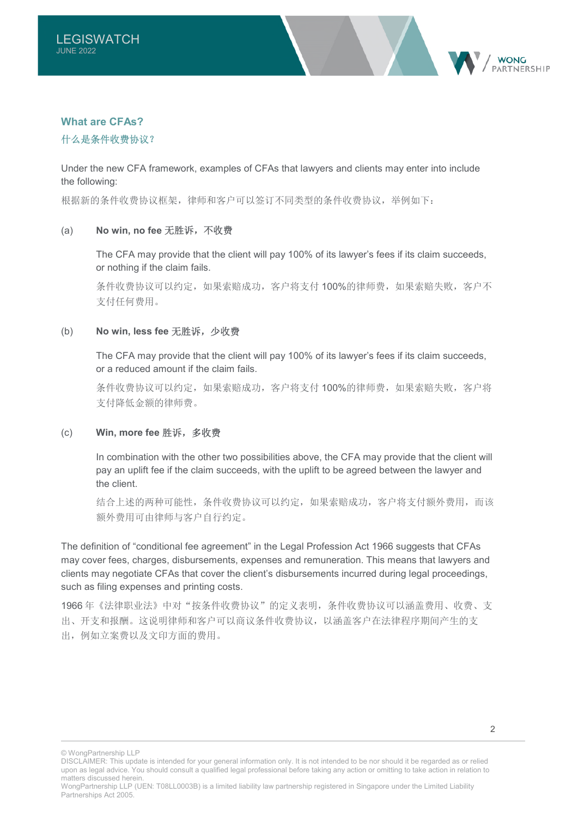

### **What are CFAs?**

### 什么是条件收费协议?

Under the new CFA framework, examples of CFAs that lawyers and clients may enter into include the following:

根据新的条件收费协议框架,律师和客户可以签订不同类型的条件收费协议,举例如下:

### (a) **No win, no fee** 无胜诉,不收费

The CFA may provide that the client will pay 100% of its lawyer's fees if its claim succeeds, or nothing if the claim fails.

条件收费协议可以约定,如果索赔成功,客户将支付 100%的律师费,如果索赔失败,客户不 支付任何费用。

### (b) **No win, less fee** 无胜诉,少收费

The CFA may provide that the client will pay 100% of its lawyer's fees if its claim succeeds, or a reduced amount if the claim fails.

条件收费协议可以约定,如果索赔成功,客户将支付 100%的律师费,如果索赔失败,客户将 支付降低金额的律师费。

### (c) **Win, more fee** 胜诉,多收费

In combination with the other two possibilities above, the CFA may provide that the client will pay an uplift fee if the claim succeeds, with the uplift to be agreed between the lawyer and the client.

结合上述的两种可能性,条件收费协议可以约定,如果索赔成功,客户将支付额外费用,而该 额外费用可由律师与客户自行约定。

The definition of "conditional fee agreement" in the Legal Profession Act 1966 suggests that CFAs may cover fees, charges, disbursements, expenses and remuneration. This means that lawyers and clients may negotiate CFAs that cover the client's disbursements incurred during legal proceedings, such as filing expenses and printing costs.

1966 年《法律职业法》中对"按条件收费协议"的定义表明,条件收费协议可以涵盖费用、收费、支 出、开支和报酬。这说明律师和客户可以商议条件收费协议,以涵盖客户在法律程序期间产生的支 出,例如立案费以及文印方面的费用。

© WongPartnership LLP

DISCLAIMER: This update is intended for your general information only. It is not intended to be nor should it be regarded as or relied upon as legal advice. You should consult a qualified legal professional before taking any action or omitting to take action in relation to matters discussed herein.

WongPartnership LLP (UEN: T08LL0003B) is a limited liability law partnership registered in Singapore under the Limited Liability Partnerships Act 2005.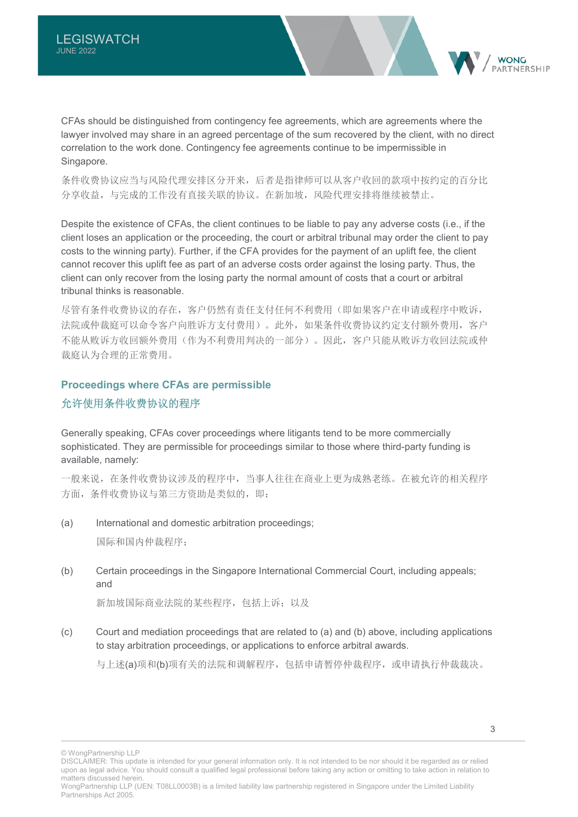CFAs should be distinguished from contingency fee agreements, which are agreements where the lawyer involved may share in an agreed percentage of the sum recovered by the client, with no direct correlation to the work done. Contingency fee agreements continue to be impermissible in Singapore.

条件收费协议应当与风险代理安排区分开来,后者是指律师可以从客户收回的款项中按约定的百分比 分享收益,与完成的工作没有直接关联的协议。在新加坡,风险代理安排将继续被禁止。

Despite the existence of CFAs, the client continues to be liable to pay any adverse costs (i.e., if the client loses an application or the proceeding, the court or arbitral tribunal may order the client to pay costs to the winning party). Further, if the CFA provides for the payment of an uplift fee, the client cannot recover this uplift fee as part of an adverse costs order against the losing party. Thus, the client can only recover from the losing party the normal amount of costs that a court or arbitral tribunal thinks is reasonable.

尽管有条件收费协议的存在,客户仍然有责任支付任何不利费用(即如果客户在申请或程序中败诉, 法院或仲裁庭可以命令客户向胜诉方支付费用)。此外,如果条件收费协议约定支付额外费用,客户 不能从败诉方收回额外费用(作为不利费用判决的一部分)。因此,客户只能从败诉方收回法院或仲 裁庭认为合理的正常费用。

### **Proceedings where CFAs are permissible**

### 允许使用条件收费协议的程序

Generally speaking, CFAs cover proceedings where litigants tend to be more commercially sophisticated. They are permissible for proceedings similar to those where third-party funding is available, namely:

一般来说,在条件收费协议涉及的程序中,当事人往往在商业上更为成熟老练。在被允许的相关程序 方面,条件收费协议与第三方资助是类似的,即:

(a) International and domestic arbitration proceedings;

国际和国内仲裁程序;

(b) Certain proceedings in the Singapore International Commercial Court, including appeals; and

新加坡国际商业法院的某些程序,包括上诉;以及

(c) Court and mediation proceedings that are related to (a) and (b) above, including applications to stay arbitration proceedings, or applications to enforce arbitral awards.

与上述(a)项和(b)项有关的法院和调解程序,包括申请暂停仲裁程序,或申请执行仲裁裁决。

**WONC** 

<sup>©</sup> WongPartnership LLP

DISCLAIMER: This update is intended for your general information only. It is not intended to be nor should it be regarded as or relied upon as legal advice. You should consult a qualified legal professional before taking any action or omitting to take action in relation to matters discussed herein.

WongPartnership LLP (UEN: T08LL0003B) is a limited liability law partnership registered in Singapore under the Limited Liability Partnerships Act 2005.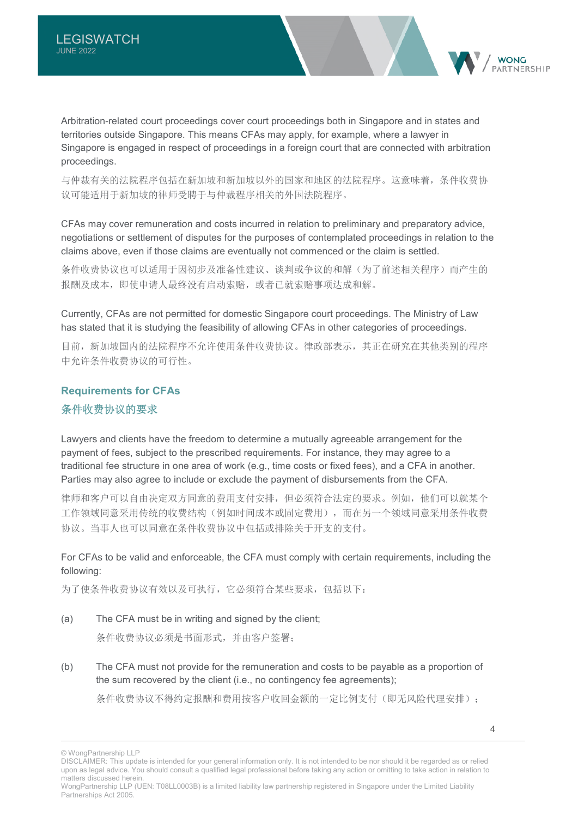Arbitration-related court proceedings cover court proceedings both in Singapore and in states and territories outside Singapore. This means CFAs may apply, for example, where a lawyer in Singapore is engaged in respect of proceedings in a foreign court that are connected with arbitration proceedings.

与仲裁有关的法院程序包括在新加坡和新加坡以外的国家和地区的法院程序。这意味着,条件收费协 议可能适用于新加坡的律师受聘于与仲裁程序相关的外国法院程序。

CFAs may cover remuneration and costs incurred in relation to preliminary and preparatory advice, negotiations or settlement of disputes for the purposes of contemplated proceedings in relation to the claims above, even if those claims are eventually not commenced or the claim is settled.

条件收费协议也可以适用于因初步及准备性建议、谈判或争议的和解(为了前述相关程序)而产生的 报酬及成本,即使申请人最终没有启动索赔,或者已就索赔事项达成和解。

Currently, CFAs are not permitted for domestic Singapore court proceedings. The Ministry of Law has stated that it is studying the feasibility of allowing CFAs in other categories of proceedings.

目前,新加坡国内的法院程序不允许使用条件收费协议。律政部表示,其正在研究在其他类别的程序 中允许条件收费协议的可行性。

### **Requirements for CFAs**  条件收费协议的要求

Lawyers and clients have the freedom to determine a mutually agreeable arrangement for the payment of fees, subject to the prescribed requirements. For instance, they may agree to a traditional fee structure in one area of work (e.g., time costs or fixed fees), and a CFA in another. Parties may also agree to include or exclude the payment of disbursements from the CFA.

律师和客户可以自由决定双方同意的费用支付安排,但必须符合法定的要求。例如,他们可以就某个 工作领域同意采用传统的收费结构(例如时间成本或固定费用),而在另一个领域同意采用条件收费 协议。当事人也可以同意在条件收费协议中包括或排除关于开支的支付。

For CFAs to be valid and enforceable, the CFA must comply with certain requirements, including the following:

为了使条件收费协议有效以及可执行,它必须符合某些要求,包括以下:

- (a) The CFA must be in writing and signed by the client; 条件收费协议必须是书面形式,并由客户签署;
- (b) The CFA must not provide for the remuneration and costs to be payable as a proportion of the sum recovered by the client (i.e., no contingency fee agreements);

条件收费协议不得约定报酬和费用按客户收回金额的一定比例支付(即无风险代理安排);

**WONC** 

<sup>©</sup> WongPartnership LLP

DISCLAIMER: This update is intended for your general information only. It is not intended to be nor should it be regarded as or relied upon as legal advice. You should consult a qualified legal professional before taking any action or omitting to take action in relation to matters discussed herein.

WongPartnership LLP (UEN: T08LL0003B) is a limited liability law partnership registered in Singapore under the Limited Liability Partnerships Act 2005.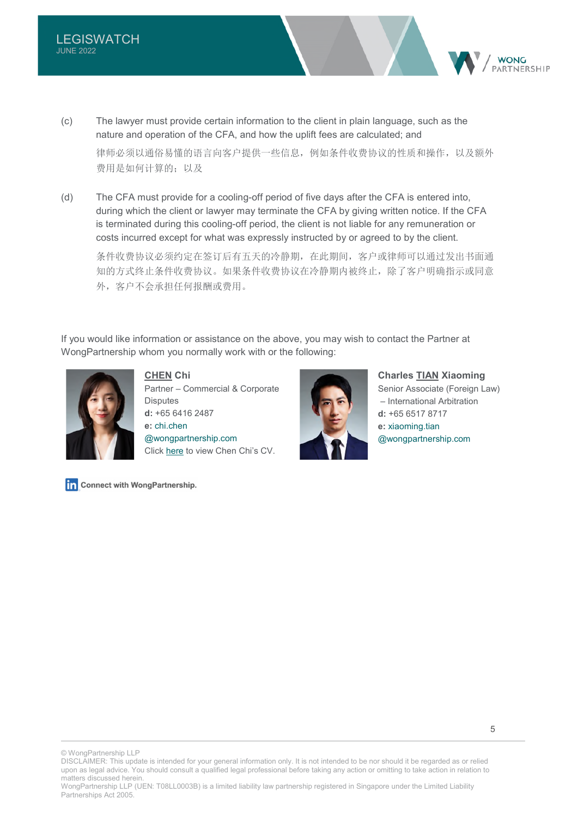

(c) The lawyer must provide certain information to the client in plain language, such as the nature and operation of the CFA, and how the uplift fees are calculated; and

律师必须以通俗易懂的语言向客户提供一些信息,例如条件收费协议的性质和操作,以及额外 费用是如何计算的:以及

(d) The CFA must provide for a cooling-off period of five days after the CFA is entered into, during which the client or lawyer may terminate the CFA by giving written notice. If the CFA is terminated during this cooling-off period, the client is not liable for any remuneration or costs incurred except for what was expressly instructed by or agreed to by the client.

条件收费协议必须约定在签订后有五天的冷静期,在此期间,客户或律师可以通过发出书面通 知的方式终止条件收费外收费协议在冷静期内被终止,除了客户明确指示或同意 外,客户不会承担任何报酬或费用。

If you would like information or assistance on the above, you may wish to contact the Partner at WongPartnership whom you normally work with or the following:



**CHEN Chi**  Partner – Commercial & Corporate **Disputes d:** +65 6416 2487 **e:** [chi.chen](mailto:chi.chen@wongpartnership.com)  [@wongpartnership.com](mailto:chi.chen@wongpartnership.com) Click [here](https://www.wongpartnership.com/people/detail/chen-chi) to view Chen Chi's CV.



**Charles TIAN Xiaoming**  Senior Associate (Foreign Law) – International Arbitration **d:** +65 6517 8717 **e:** [xiaoming.tian](mailto:xiaoming.tian@wongpartnership.com)  [@wongpartnership.com](mailto:xiaoming.tian@wongpartnership.com)

Connect with WongPartnership.

© WongPartnership LLP

DISCLAIMER: This update is intended for your general information only. It is not intended to be nor should it be regarded as or relied upon as legal advice. You should consult a qualified legal professional before taking any action or omitting to take action in relation to matters discussed herein.

WongPartnership LLP (UEN: T08LL0003B) is a limited liability law partnership registered in Singapore under the Limited Liability Partnerships Act 2005.